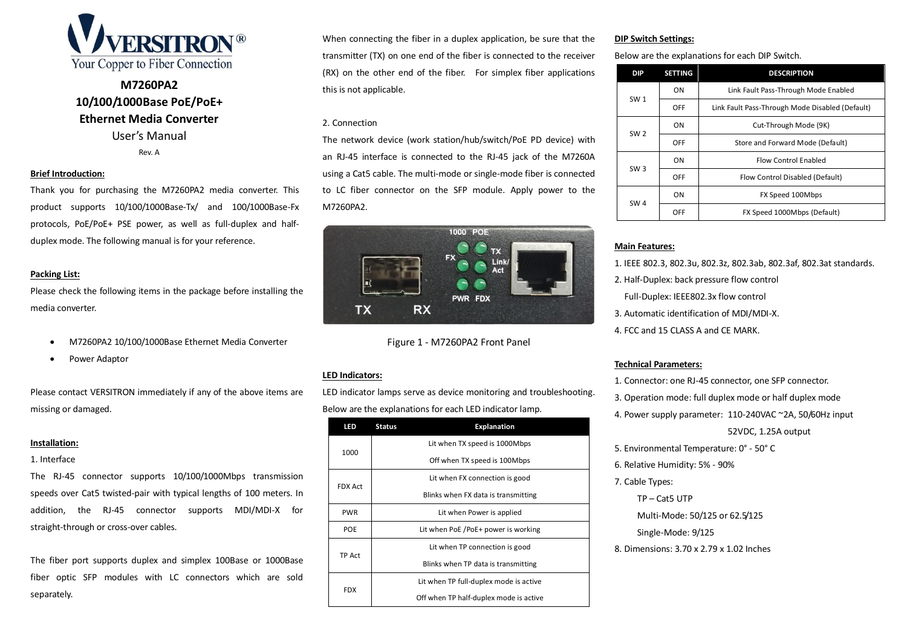

# **M7260PA2 10/100/1000Base PoE/PoE+ Ethernet Media Converter** User's Manual

Rev. A

#### **Brief Introduction:**

Thank you for purchasing the M7260PA2 media converter. This product supports 10/100/1000Base-Tx/ and 100/1000Base-Fx protocols, PoE/PoE+ PSE power, as well as full-duplex and halfduplex mode. The following manual is for your reference.

# **Packing List:**

Please check the following items in the package before installing the media converter.

- M7260PA2 10/100/1000Base Ethernet Media Converter
- Power Adaptor

Please contact VERSITRON immediately if any of the above items are missing or damaged.

#### **Installation:**

### 1. Interface

The RJ-45 connector supports 10/100/1000Mbps transmission speeds over Cat5 twisted-pair with typical lengths of 100 meters. In addition, the RJ-45 connector supports MDI/MDI-X for straight-through or cross-over cables.

The fiber port supports duplex and simplex 100Base or 1000Base fiber optic SFP modules with LC connectors which are sold separately.

When connecting the fiber in a duplex application, be sure that the transmitter (TX) on one end of the fiber is connected to the receiver (RX) on the other end of the fiber. For simplex fiber applications this is not applicable.

# 2. Connection

The network device (work station/hub/switch/PoE PD device) with an RJ-45 interface is connected to the RJ-45 jack of the M7260A using a Cat5 cable. The multi-mode or single-mode fiber is connected to LC fiber connector on the SFP module. Apply power to the M7260PA2.



Figure 1 - M7260PA2 Front Panel

# **LED Indicators:**

LED indicator lamps serve as device monitoring and troubleshooting. Below are the explanations for each LED indicator lamp.

| LED            | <b>Explanation</b><br><b>Status</b>    |  |
|----------------|----------------------------------------|--|
| 1000           | Lit when TX speed is 1000Mbps          |  |
|                | Off when TX speed is 100Mbps           |  |
| <b>FDX Act</b> | Lit when FX connection is good         |  |
|                | Blinks when FX data is transmitting    |  |
| <b>PWR</b>     | Lit when Power is applied              |  |
| POE            | Lit when PoE /PoE+ power is working    |  |
| TP Act         | Lit when TP connection is good         |  |
|                | Blinks when TP data is transmitting    |  |
| <b>FDX</b>     | Lit when TP full-duplex mode is active |  |
|                | Off when TP half-duplex mode is active |  |

# **DIP Switch Settings:**

Below are the explanations for each DIP Switch.

|  | <b>DIP</b>      | <b>SETTING</b> | <b>DESCRIPTION</b>                              |
|--|-----------------|----------------|-------------------------------------------------|
|  | <b>SW1</b>      | OΝ             | Link Fault Pass-Through Mode Enabled            |
|  |                 | OFF            | Link Fault Pass-Through Mode Disabled (Default) |
|  | SW <sub>2</sub> | OΝ             | Cut-Through Mode (9K)                           |
|  |                 | OFF            | Store and Forward Mode (Default)                |
|  | SW <sub>3</sub> | OΝ             | <b>Flow Control Enabled</b>                     |
|  |                 | OFF            | Flow Control Disabled (Default)                 |
|  | SW <sub>4</sub> | OΝ             | FX Speed 100Mbps                                |
|  |                 | OFF            | FX Speed 1000Mbps (Default)                     |

#### **Main Features:**

- 1. IEEE 802.3, 802.3u, 802.3z, 802.3ab, 802.3af, 802.3at standards.
- 2. Half-Duplex: back pressure flow control
	- Full-Duplex: IEEE802.3x flow control
- 3. Automatic identification of MDI/MDI-X.
- 4. FCC and 15 CLASS A and CE MARK.

# **Technical Parameters:**

- 1. Connector: one RJ-45 connector, one SFP connector.
- 3. Operation mode: full duplex mode or half duplex mode
- 4. Power supply parameter: 110-240VAC ~2A, 50/60Hz input

#### 52VDC, 1.25A output

- 5. Environmental Temperature: 0° 50° C
- 6. Relative Humidity: 5% 90%
- 7. Cable Types:

TP – Cat5 UTP

Multi-Mode: 50/125 or 62.5/125

Single-Mode: 9/125

8. Dimensions: 3.70 x 2.79 x 1.02 Inches